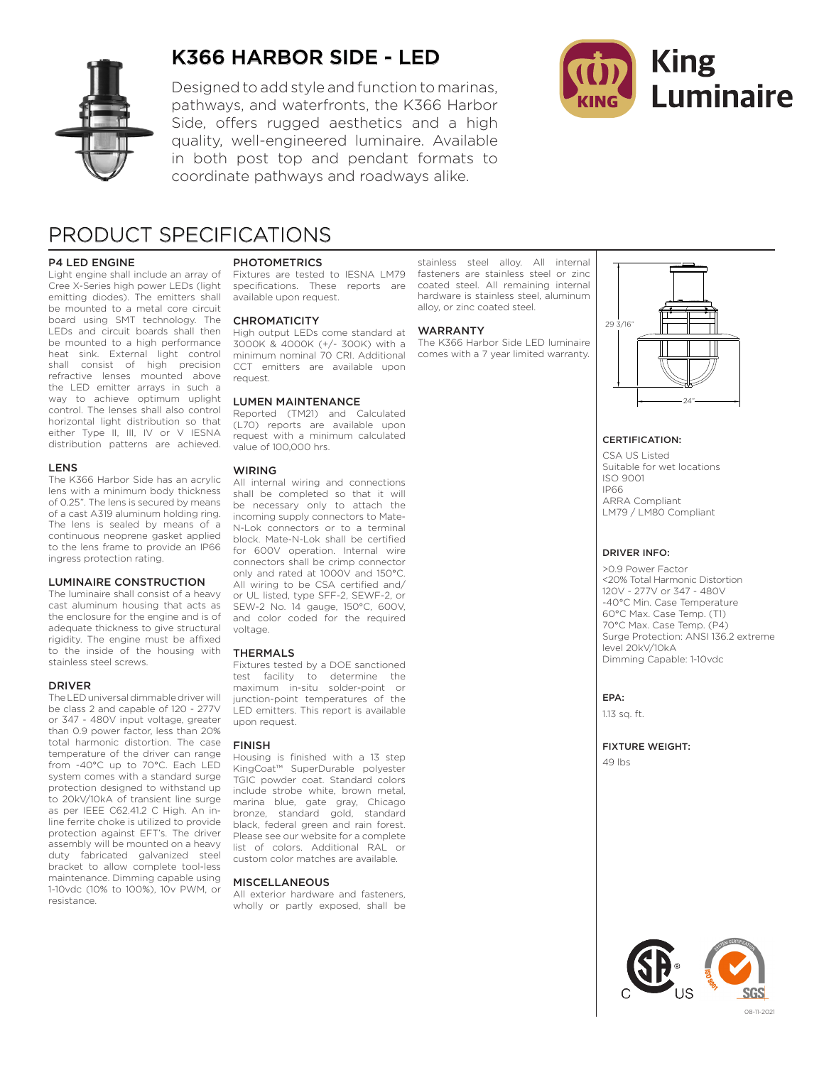

## K366 HARBOR SIDE - LED

Designed to add style and function to marinas, pathways, and waterfronts, the K366 Harbor Side, offers rugged aesthetics and a high quality, well-engineered luminaire. Available in both post top and pendant formats to coordinate pathways and roadways alike.



## PRODUCT SPECIFICATIONS

#### P4 LED ENGINE

Light engine shall include an array of Cree X-Series high power LEDs (light emitting diodes). The emitters shall be mounted to a metal core circuit board using SMT technology. The LEDs and circuit boards shall then be mounted to a high performance heat sink. External light control shall consist of high precision refractive lenses mounted above the LED emitter arrays in such a way to achieve optimum uplight control. The lenses shall also control horizontal light distribution so that either Type II, III, IV or V IESNA distribution patterns are achieved.

#### LENS

The K366 Harbor Side has an acrylic lens with a minimum body thickness of 0.25". The lens is secured by means of a cast A319 aluminum holding ring. The lens is sealed by means of a continuous neoprene gasket applied to the lens frame to provide an IP66 ingress protection rating.

#### LUMINAIRE CONSTRUCTION

The luminaire shall consist of a heavy cast aluminum housing that acts as the enclosure for the engine and is of adequate thickness to give structural rigidity. The engine must be affixed to the inside of the housing with stainless steel screws.

#### DRIVER

The LED universal dimmable driver will be class 2 and capable of 120 - 277V or 347 - 480V input voltage, greater than 0.9 power factor, less than 20% total harmonic distortion. The case temperature of the driver can range from -40°C up to 70°C. Each LED system comes with a standard surge protection designed to withstand up to 20kV/10kA of transient line surge as per IEEE C62.41.2 C High. An inline ferrite choke is utilized to provide protection against EFT's. The driver assembly will be mounted on a heavy duty fabricated galvanized steel bracket to allow complete tool-less maintenance. Dimming capable using 1-10vdc (10% to 100%), 10v PWM, or resistance.

#### PHOTOMETRICS

Fixtures are tested to IESNA LM79 specifications. These reports are available upon request.

#### **CHROMATICITY**

High output LEDs come standard at 3000K & 4000K (+/- 300K) with a minimum nominal 70 CRI. Additional CCT emitters are available upon request.

#### LUMEN MAINTENANCE

Reported (TM21) and Calculated (L70) reports are available upon request with a minimum calculated value of 100,000 hrs.

#### WIRING

All internal wiring and connections shall be completed so that it will be necessary only to attach the incoming supply connectors to Mate-N-Lok connectors or to a terminal block. Mate-N-Lok shall be certified for 600V operation. Internal wire connectors shall be crimp connector only and rated at 1000V and 150°C. All wiring to be CSA certified and/ or UL listed, type SFF-2, SEWF-2, or SEW-2 No. 14 gauge, 150°C, 600V, and color coded for the required voltage.

#### THERMALS

Fixtures tested by a DOE sanctioned test facility to determine the maximum in-situ solder-point or junction-point temperatures of the LED emitters. This report is available upon request.

#### FINISH

Housing is finished with a 13 step KingCoat™ SuperDurable polyester TGIC powder coat. Standard colors include strobe white, brown metal, marina blue, gate gray, Chicago bronze, standard gold, standard black, federal green and rain forest. Please see our website for a complete list of colors. Additional RAL or custom color matches are available.

#### **MISCELLANEOUS**

All exterior hardware and fasteners, wholly or partly exposed, shall be

stainless steel alloy. All internal fasteners are stainless steel or zinc coated steel. All remaining internal hardware is stainless steel, aluminum alloy, or zinc coated steel.

#### WARRANTY

The K366 Harbor Side LED luminaire comes with a 7 year limited warranty.



#### CERTIFICATION:

CSA US Listed Suitable for wet locations ISO 9001 IP66 ARRA Compliant LM79 / LM80 Compliant

#### DRIVER INFO:

>0.9 Power Factor <20% Total Harmonic Distortion 120V - 277V or 347 - 480V -40°C Min. Case Temperature 60°C Max. Case Temp. (T1) 70°C Max. Case Temp. (P4) Surge Protection: ANSI 136.2 extreme level 20kV/10kA Dimming Capable: 1-10vdc

EPA:

1.13 sq. ft.

#### FIXTURE WEIGHT:

49 lbs